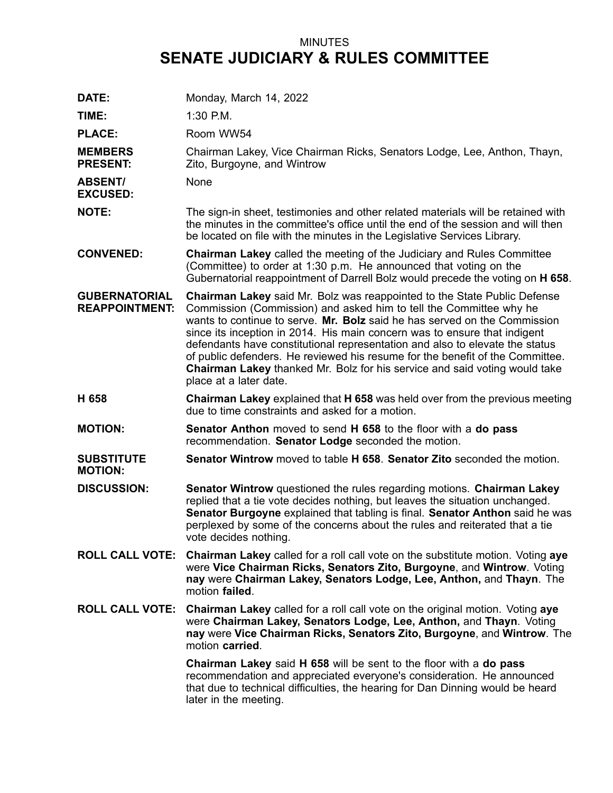## MINUTES **SENATE JUDICIARY & RULES COMMITTEE**

| DATE:                                         | Monday, March 14, 2022                                                                                                                                                                                                                                                                                                                                                                                                                                                                                                                                                                          |
|-----------------------------------------------|-------------------------------------------------------------------------------------------------------------------------------------------------------------------------------------------------------------------------------------------------------------------------------------------------------------------------------------------------------------------------------------------------------------------------------------------------------------------------------------------------------------------------------------------------------------------------------------------------|
| TIME:                                         | 1:30 P.M.                                                                                                                                                                                                                                                                                                                                                                                                                                                                                                                                                                                       |
| <b>PLACE:</b>                                 | Room WW54                                                                                                                                                                                                                                                                                                                                                                                                                                                                                                                                                                                       |
| <b>MEMBERS</b><br><b>PRESENT:</b>             | Chairman Lakey, Vice Chairman Ricks, Senators Lodge, Lee, Anthon, Thayn,<br>Zito, Burgoyne, and Wintrow                                                                                                                                                                                                                                                                                                                                                                                                                                                                                         |
| <b>ABSENT/</b><br><b>EXCUSED:</b>             | None                                                                                                                                                                                                                                                                                                                                                                                                                                                                                                                                                                                            |
| <b>NOTE:</b>                                  | The sign-in sheet, testimonies and other related materials will be retained with<br>the minutes in the committee's office until the end of the session and will then<br>be located on file with the minutes in the Legislative Services Library.                                                                                                                                                                                                                                                                                                                                                |
| <b>CONVENED:</b>                              | <b>Chairman Lakey</b> called the meeting of the Judiciary and Rules Committee<br>(Committee) to order at 1:30 p.m. He announced that voting on the<br>Gubernatorial reappointment of Darrell Bolz would precede the voting on H 658.                                                                                                                                                                                                                                                                                                                                                            |
| <b>GUBERNATORIAL</b><br><b>REAPPOINTMENT:</b> | <b>Chairman Lakey</b> said Mr. Bolz was reappointed to the State Public Defense<br>Commission (Commission) and asked him to tell the Committee why he<br>wants to continue to serve. Mr. Bolz said he has served on the Commission<br>since its inception in 2014. His main concern was to ensure that indigent<br>defendants have constitutional representation and also to elevate the status<br>of public defenders. He reviewed his resume for the benefit of the Committee.<br><b>Chairman Lakey</b> thanked Mr. Bolz for his service and said voting would take<br>place at a later date. |
| H 658                                         | <b>Chairman Lakey</b> explained that <b>H 658</b> was held over from the previous meeting<br>due to time constraints and asked for a motion.                                                                                                                                                                                                                                                                                                                                                                                                                                                    |
| <b>MOTION:</b>                                | <b>Senator Anthon</b> moved to send <b>H 658</b> to the floor with a <b>do pass</b><br>recommendation. Senator Lodge seconded the motion.                                                                                                                                                                                                                                                                                                                                                                                                                                                       |
| <b>SUBSTITUTE</b><br><b>MOTION:</b>           | Senator Wintrow moved to table H 658. Senator Zito seconded the motion.                                                                                                                                                                                                                                                                                                                                                                                                                                                                                                                         |
| <b>DISCUSSION:</b>                            | <b>Senator Wintrow</b> questioned the rules regarding motions. Chairman Lakey<br>replied that a tie vote decides nothing, but leaves the situation unchanged.<br>Senator Burgoyne explained that tabling is final. Senator Anthon said he was<br>perplexed by some of the concerns about the rules and reiterated that a tie<br>vote decides nothing.                                                                                                                                                                                                                                           |
| <b>ROLL CALL VOTE:</b>                        | <b>Chairman Lakey</b> called for a roll call vote on the substitute motion. Voting aye<br>were Vice Chairman Ricks, Senators Zito, Burgoyne, and Wintrow. Voting<br>nay were Chairman Lakey, Senators Lodge, Lee, Anthon, and Thayn. The<br>motion failed.                                                                                                                                                                                                                                                                                                                                      |
| <b>ROLL CALL VOTE:</b>                        | Chairman Lakey called for a roll call vote on the original motion. Voting aye<br>were Chairman Lakey, Senators Lodge, Lee, Anthon, and Thayn. Voting<br>nay were Vice Chairman Ricks, Senators Zito, Burgoyne, and Wintrow. The<br>motion carried.                                                                                                                                                                                                                                                                                                                                              |
|                                               | Chairman Lakey said H 658 will be sent to the floor with a do pass<br>recommendation and appreciated everyone's consideration. He announced<br>that due to technical difficulties, the hearing for Dan Dinning would be heard<br>later in the meeting.                                                                                                                                                                                                                                                                                                                                          |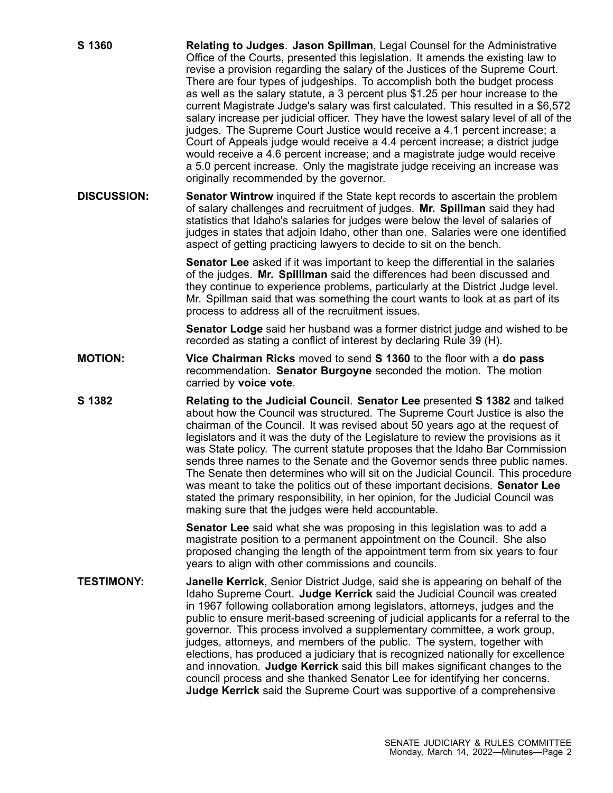| S 1360             | Relating to Judges. Jason Spillman, Legal Counsel for the Administrative<br>Office of the Courts, presented this legislation. It amends the existing law to<br>revise a provision regarding the salary of the Justices of the Supreme Court.<br>There are four types of judgeships. To accomplish both the budget process<br>as well as the salary statute, a 3 percent plus \$1.25 per hour increase to the<br>current Magistrate Judge's salary was first calculated. This resulted in a \$6,572<br>salary increase per judicial officer. They have the lowest salary level of all of the<br>judges. The Supreme Court Justice would receive a 4.1 percent increase; a<br>Court of Appeals judge would receive a 4.4 percent increase; a district judge<br>would receive a 4.6 percent increase; and a magistrate judge would receive<br>a 5.0 percent increase. Only the magistrate judge receiving an increase was<br>originally recommended by the governor. |
|--------------------|-------------------------------------------------------------------------------------------------------------------------------------------------------------------------------------------------------------------------------------------------------------------------------------------------------------------------------------------------------------------------------------------------------------------------------------------------------------------------------------------------------------------------------------------------------------------------------------------------------------------------------------------------------------------------------------------------------------------------------------------------------------------------------------------------------------------------------------------------------------------------------------------------------------------------------------------------------------------|
| <b>DISCUSSION:</b> | <b>Senator Wintrow</b> inquired if the State kept records to ascertain the problem<br>of salary challenges and recruitment of judges. Mr. Spillman said they had<br>statistics that Idaho's salaries for judges were below the level of salaries of<br>judges in states that adjoin Idaho, other than one. Salaries were one identified<br>aspect of getting practicing lawyers to decide to sit on the bench.                                                                                                                                                                                                                                                                                                                                                                                                                                                                                                                                                    |
|                    | <b>Senator Lee</b> asked if it was important to keep the differential in the salaries<br>of the judges. Mr. Spilllman said the differences had been discussed and<br>they continue to experience problems, particularly at the District Judge level.<br>Mr. Spillman said that was something the court wants to look at as part of its<br>process to address all of the recruitment issues.                                                                                                                                                                                                                                                                                                                                                                                                                                                                                                                                                                       |
|                    | Senator Lodge said her husband was a former district judge and wished to be<br>recorded as stating a conflict of interest by declaring Rule 39 (H).                                                                                                                                                                                                                                                                                                                                                                                                                                                                                                                                                                                                                                                                                                                                                                                                               |
| <b>MOTION:</b>     | Vice Chairman Ricks moved to send S 1360 to the floor with a do pass<br>recommendation. Senator Burgoyne seconded the motion. The motion<br>carried by voice vote.                                                                                                                                                                                                                                                                                                                                                                                                                                                                                                                                                                                                                                                                                                                                                                                                |
| S 1382             | Relating to the Judicial Council. Senator Lee presented S 1382 and talked<br>about how the Council was structured. The Supreme Court Justice is also the<br>chairman of the Council. It was revised about 50 years ago at the request of<br>legislators and it was the duty of the Legislature to review the provisions as it<br>was State policy. The current statute proposes that the Idaho Bar Commission<br>sends three names to the Senate and the Governor sends three public names.<br>The Senate then determines who will sit on the Judicial Council. This procedure<br>was meant to take the politics out of these important decisions. Senator Lee<br>stated the primary responsibility, in her opinion, for the Judicial Council was<br>making sure that the judges were held accountable.                                                                                                                                                           |
|                    | <b>Senator Lee</b> said what she was proposing in this legislation was to add a<br>magistrate position to a permanent appointment on the Council. She also<br>proposed changing the length of the appointment term from six years to four<br>years to align with other commissions and councils.                                                                                                                                                                                                                                                                                                                                                                                                                                                                                                                                                                                                                                                                  |
| <b>TESTIMONY:</b>  | <b>Janelle Kerrick</b> , Senior District Judge, said she is appearing on behalf of the<br>Idaho Supreme Court. Judge Kerrick said the Judicial Council was created<br>in 1967 following collaboration among legislators, attorneys, judges and the<br>public to ensure merit-based screening of judicial applicants for a referral to the<br>governor. This process involved a supplementary committee, a work group,<br>judges, attorneys, and members of the public. The system, together with<br>elections, has produced a judiciary that is recognized nationally for excellence<br>and innovation. Judge Kerrick said this bill makes significant changes to the<br>council process and she thanked Senator Lee for identifying her concerns.<br>Judge Kerrick said the Supreme Court was supportive of a comprehensive                                                                                                                                      |